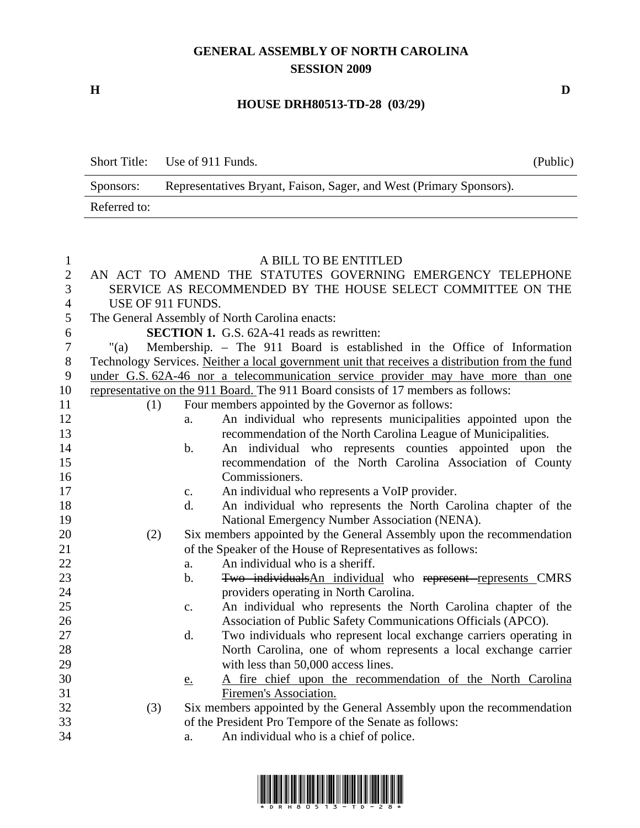## **GENERAL ASSEMBLY OF NORTH CAROLINA SESSION 2009**

**H D** 

## **HOUSE DRH80513-TD-28 (03/29)**

| <b>Short Title:</b> | Use of 911 Funds.                                                   | (Public) |
|---------------------|---------------------------------------------------------------------|----------|
| Sponsors:           | Representatives Bryant, Faison, Sager, and West (Primary Sponsors). |          |
| Referred to:        |                                                                     |          |

## 1 A BILL TO BE ENTITLED

| $\overline{2}$ |                   |                | AN ACT TO AMEND THE STATUTES GOVERNING EMERGENCY TELEPHONE                                      |
|----------------|-------------------|----------------|-------------------------------------------------------------------------------------------------|
| 3              |                   |                | SERVICE AS RECOMMENDED BY THE HOUSE SELECT COMMITTEE ON THE                                     |
| $\overline{4}$ | USE OF 911 FUNDS. |                |                                                                                                 |
| 5              |                   |                | The General Assembly of North Carolina enacts:                                                  |
| 6              |                   |                | <b>SECTION 1.</b> G.S. 62A-41 reads as rewritten:                                               |
| $\tau$         | " $(a)$           |                | Membership. - The 911 Board is established in the Office of Information                         |
| $8\,$          |                   |                | Technology Services. Neither a local government unit that receives a distribution from the fund |
| 9              |                   |                | under G.S. 62A-46 nor a telecommunication service provider may have more than one               |
| 10             |                   |                | representative on the 911 Board. The 911 Board consists of 17 members as follows:               |
| 11             | (1)               |                | Four members appointed by the Governor as follows:                                              |
| 12             |                   | a.             | An individual who represents municipalities appointed upon the                                  |
| 13             |                   |                | recommendation of the North Carolina League of Municipalities.                                  |
| 14             |                   | b.             | An individual who represents counties appointed upon the                                        |
| 15             |                   |                | recommendation of the North Carolina Association of County                                      |
| 16             |                   |                | Commissioners.                                                                                  |
| 17             |                   | c.             | An individual who represents a VoIP provider.                                                   |
| 18             |                   | d.             | An individual who represents the North Carolina chapter of the                                  |
| 19             |                   |                | National Emergency Number Association (NENA).                                                   |
| 20             | (2)               |                | Six members appointed by the General Assembly upon the recommendation                           |
| 21             |                   |                | of the Speaker of the House of Representatives as follows:                                      |
| 22             |                   | a.             | An individual who is a sheriff.                                                                 |
| 23             |                   | b.             | Two individualsAn individual who represent represents CMRS                                      |
| 24             |                   |                | providers operating in North Carolina.                                                          |
| 25             |                   | $\mathbf{c}$ . | An individual who represents the North Carolina chapter of the                                  |
| 26             |                   |                | Association of Public Safety Communications Officials (APCO).                                   |
| 27             |                   | d.             | Two individuals who represent local exchange carriers operating in                              |
| 28             |                   |                | North Carolina, one of whom represents a local exchange carrier                                 |
| 29             |                   |                | with less than 50,000 access lines.                                                             |
| 30             |                   | e.             | A fire chief upon the recommendation of the North Carolina                                      |
| 31             |                   |                | Firemen's Association.                                                                          |
| 32             | (3)               |                | Six members appointed by the General Assembly upon the recommendation                           |
| 33             |                   |                | of the President Pro Tempore of the Senate as follows:                                          |
| 34             |                   | a.             | An individual who is a chief of police.                                                         |
|                |                   |                |                                                                                                 |

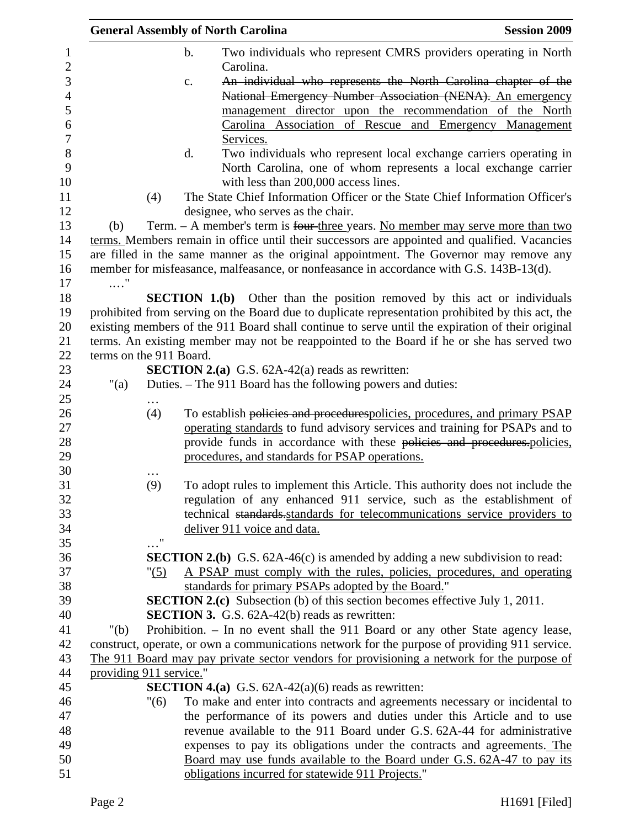|                         |                       | <b>General Assembly of North Carolina</b>                                                                          | <b>Session 2009</b>                                                                                                                   |
|-------------------------|-----------------------|--------------------------------------------------------------------------------------------------------------------|---------------------------------------------------------------------------------------------------------------------------------------|
|                         |                       | $b$ .<br>Carolina.                                                                                                 | Two individuals who represent CMRS providers operating in North                                                                       |
|                         |                       | c.                                                                                                                 | An individual who represents the North Carolina chapter of the<br>National Emergency Number Association (NENA). An emergency          |
|                         |                       |                                                                                                                    | management director upon the recommendation of the North                                                                              |
|                         |                       | Services.                                                                                                          | Carolina Association of Rescue and Emergency Management                                                                               |
|                         |                       | d.<br>with less than 200,000 access lines.                                                                         | Two individuals who represent local exchange carriers operating in<br>North Carolina, one of whom represents a local exchange carrier |
|                         | (4)                   | The State Chief Information Officer or the State Chief Information Officer's<br>designee, who serves as the chair. |                                                                                                                                       |
| (b)                     |                       | Term. - A member's term is four three years. No member may serve more than two                                     |                                                                                                                                       |
|                         |                       | terms. Members remain in office until their successors are appointed and qualified. Vacancies                      |                                                                                                                                       |
|                         |                       | are filled in the same manner as the original appointment. The Governor may remove any                             |                                                                                                                                       |
| $\ldots$ "              |                       | member for misfeasance, malfeasance, or nonfeasance in accordance with G.S. 143B-13(d).                            |                                                                                                                                       |
|                         |                       | <b>SECTION 1.(b)</b> Other than the position removed by this act or individuals                                    |                                                                                                                                       |
|                         |                       | prohibited from serving on the Board due to duplicate representation prohibited by this act, the                   |                                                                                                                                       |
|                         |                       | existing members of the 911 Board shall continue to serve until the expiration of their original                   |                                                                                                                                       |
|                         |                       | terms. An existing member may not be reappointed to the Board if he or she has served two                          |                                                                                                                                       |
| terms on the 911 Board. |                       |                                                                                                                    |                                                                                                                                       |
|                         |                       | <b>SECTION 2.(a)</b> G.S. $62A-42(a)$ reads as rewritten:                                                          |                                                                                                                                       |
| " $(a)$                 |                       | Duties. – The 911 Board has the following powers and duties:                                                       |                                                                                                                                       |
|                         |                       |                                                                                                                    |                                                                                                                                       |
|                         | (4)                   | To establish policies and procedurespolicies, procedures, and primary PSAP                                         |                                                                                                                                       |
|                         |                       | operating standards to fund advisory services and training for PSAPs and to                                        |                                                                                                                                       |
|                         |                       | provide funds in accordance with these policies and procedures.policies,                                           |                                                                                                                                       |
|                         |                       | procedures, and standards for PSAP operations.                                                                     |                                                                                                                                       |
|                         |                       |                                                                                                                    |                                                                                                                                       |
|                         | (9)                   | To adopt rules to implement this Article. This authority does not include the                                      |                                                                                                                                       |
|                         |                       | regulation of any enhanced 911 service, such as the establishment of                                               |                                                                                                                                       |
|                         |                       | technical standards standards for telecommunications service providers to                                          |                                                                                                                                       |
|                         |                       | deliver 911 voice and data.                                                                                        |                                                                                                                                       |
|                         | $\ldots$ <sup>"</sup> |                                                                                                                    |                                                                                                                                       |
|                         |                       | <b>SECTION 2.(b)</b> G.S. $62A-46(c)$ is amended by adding a new subdivision to read:                              |                                                                                                                                       |
|                         | "(5)                  | A PSAP must comply with the rules, policies, procedures, and operating                                             |                                                                                                                                       |
|                         |                       | standards for primary PSAPs adopted by the Board."                                                                 |                                                                                                                                       |
|                         |                       | <b>SECTION 2.(c)</b> Subsection (b) of this section becomes effective July 1, 2011.                                |                                                                                                                                       |
|                         |                       | <b>SECTION 3.</b> G.S. 62A-42(b) reads as rewritten:                                                               |                                                                                                                                       |
| " $(b)$                 |                       | Prohibition. - In no event shall the 911 Board or any other State agency lease,                                    |                                                                                                                                       |
|                         |                       | construct, operate, or own a communications network for the purpose of providing 911 service.                      |                                                                                                                                       |
|                         |                       | The 911 Board may pay private sector vendors for provisioning a network for the purpose of                         |                                                                                                                                       |
| providing 911 service." |                       |                                                                                                                    |                                                                                                                                       |
|                         |                       | <b>SECTION 4.(a)</b> G.S. $62A-42(a)(6)$ reads as rewritten:                                                       |                                                                                                                                       |
|                         | "(6)                  | To make and enter into contracts and agreements necessary or incidental to                                         |                                                                                                                                       |
|                         |                       | the performance of its powers and duties under this Article and to use                                             |                                                                                                                                       |
|                         |                       | revenue available to the 911 Board under G.S. 62A-44 for administrative                                            |                                                                                                                                       |
|                         |                       | expenses to pay its obligations under the contracts and agreements. The                                            |                                                                                                                                       |
|                         |                       | Board may use funds available to the Board under G.S. 62A-47 to pay its                                            |                                                                                                                                       |
|                         |                       | obligations incurred for statewide 911 Projects."                                                                  |                                                                                                                                       |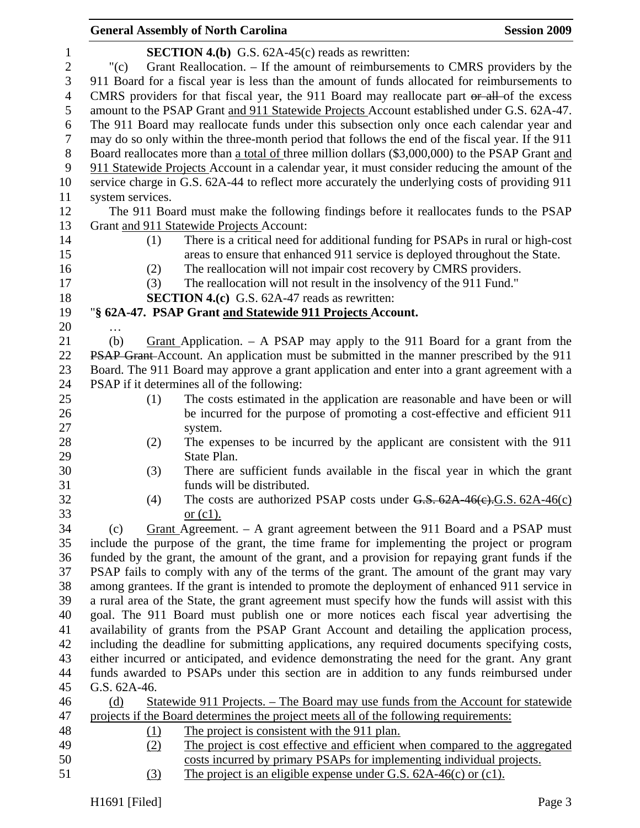|                  |                  | <b>General Assembly of North Carolina</b>                                                                | <b>Session 2009</b> |
|------------------|------------------|----------------------------------------------------------------------------------------------------------|---------------------|
| $\mathbf{1}$     |                  | <b>SECTION 4.(b)</b> G.S. $62A-45(c)$ reads as rewritten:                                                |                     |
| $\boldsymbol{2}$ | " $(c)$          | Grant Reallocation. – If the amount of reimbursements to CMRS providers by the                           |                     |
| 3                |                  | 911 Board for a fiscal year is less than the amount of funds allocated for reimbursements to             |                     |
| $\overline{4}$   |                  | CMRS providers for that fiscal year, the 911 Board may reallocate part or all of the excess              |                     |
| 5                |                  | amount to the PSAP Grant and 911 Statewide Projects Account established under G.S. 62A-47.               |                     |
| 6                |                  | The 911 Board may reallocate funds under this subsection only once each calendar year and                |                     |
| 7                |                  | may do so only within the three-month period that follows the end of the fiscal year. If the 911         |                     |
| $8\,$            |                  | Board reallocates more than a total of three million dollars (\$3,000,000) to the PSAP Grant and         |                     |
| 9                |                  | 911 Statewide Projects Account in a calendar year, it must consider reducing the amount of the           |                     |
| 10               |                  | service charge in G.S. 62A-44 to reflect more accurately the underlying costs of providing 911           |                     |
| 11               | system services. |                                                                                                          |                     |
| 12               |                  | The 911 Board must make the following findings before it reallocates funds to the PSAP                   |                     |
| 13               |                  | Grant and 911 Statewide Projects Account:                                                                |                     |
| 14               | (1)              | There is a critical need for additional funding for PSAPs in rural or high-cost                          |                     |
| 15               |                  | areas to ensure that enhanced 911 service is deployed throughout the State.                              |                     |
| 16               | (2)              | The reallocation will not impair cost recovery by CMRS providers.                                        |                     |
| 17               | (3)              | The reallocation will not result in the insolvency of the 911 Fund."                                     |                     |
| 18               |                  | <b>SECTION 4.(c)</b> G.S. 62A-47 reads as rewritten:                                                     |                     |
| 19               |                  | "§ 62A-47. PSAP Grant and Statewide 911 Projects Account.                                                |                     |
| 20               |                  |                                                                                                          |                     |
| 21               | (b)              | Grant Application. $-$ A PSAP may apply to the 911 Board for a grant from the                            |                     |
| 22               |                  | PSAP Grant-Account. An application must be submitted in the manner prescribed by the 911                 |                     |
| 23               |                  | Board. The 911 Board may approve a grant application and enter into a grant agreement with a             |                     |
| 24               |                  | PSAP if it determines all of the following:                                                              |                     |
| 25               | (1)              | The costs estimated in the application are reasonable and have been or will                              |                     |
| 26               |                  | be incurred for the purpose of promoting a cost-effective and efficient 911                              |                     |
| 27               |                  | system.                                                                                                  |                     |
| 28               | (2)              | The expenses to be incurred by the applicant are consistent with the 911                                 |                     |
| 29               |                  | State Plan.                                                                                              |                     |
| 30<br>31         | (3)              | There are sufficient funds available in the fiscal year in which the grant<br>funds will be distributed. |                     |
| 32               | (4)              | The costs are authorized PSAP costs under $G.S. 62A-46(c).G.S. 62A-46(c)$                                |                     |
| 33               |                  | or $(c1)$ .                                                                                              |                     |
| 34               | (c)              | Grant Agreement. $-$ A grant agreement between the 911 Board and a PSAP must                             |                     |
| 35               |                  | include the purpose of the grant, the time frame for implementing the project or program                 |                     |
| 36               |                  | funded by the grant, the amount of the grant, and a provision for repaying grant funds if the            |                     |
| 37               |                  | PSAP fails to comply with any of the terms of the grant. The amount of the grant may vary                |                     |
| 38               |                  | among grantees. If the grant is intended to promote the deployment of enhanced 911 service in            |                     |
| 39               |                  | a rural area of the State, the grant agreement must specify how the funds will assist with this          |                     |
| 40               |                  | goal. The 911 Board must publish one or more notices each fiscal year advertising the                    |                     |
| 41               |                  | availability of grants from the PSAP Grant Account and detailing the application process,                |                     |
| 42               |                  | including the deadline for submitting applications, any required documents specifying costs,             |                     |
| 43               |                  | either incurred or anticipated, and evidence demonstrating the need for the grant. Any grant             |                     |
| 44               |                  | funds awarded to PSAPs under this section are in addition to any funds reimbursed under                  |                     |
| 45               | G.S. 62A-46.     |                                                                                                          |                     |
| 46               | (d)              | Statewide 911 Projects. – The Board may use funds from the Account for statewide                         |                     |
| 47               |                  | projects if the Board determines the project meets all of the following requirements:                    |                     |
| 48               | <u>(1)</u>       | The project is consistent with the 911 plan.                                                             |                     |
| 49               | (2)              | The project is cost effective and efficient when compared to the aggregated                              |                     |
| 50               |                  | costs incurred by primary PSAPs for implementing individual projects.                                    |                     |
| 51               | (3)              | The project is an eligible expense under G.S. $62A-46(c)$ or $(c1)$ .                                    |                     |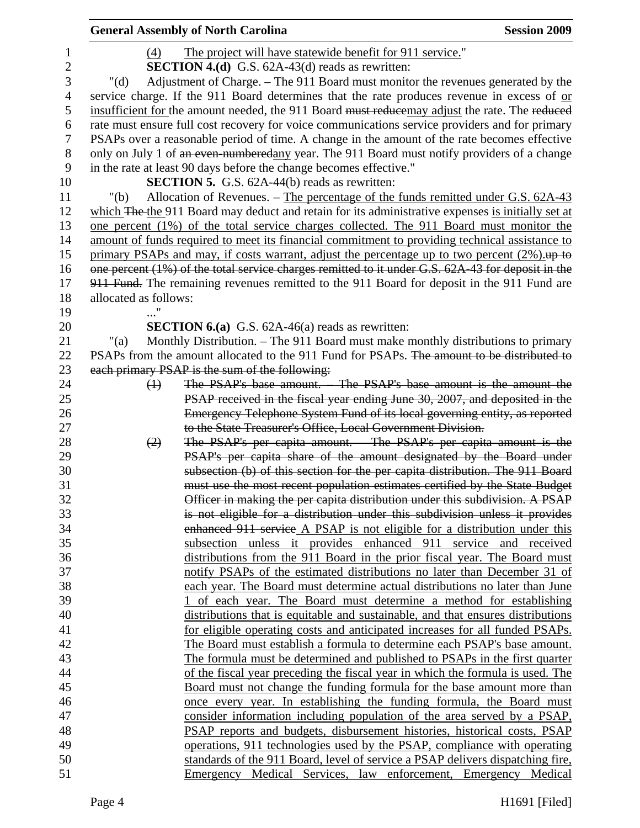|                |                       | <b>General Assembly of North Carolina</b>                                                         | <b>Session 2009</b> |
|----------------|-----------------------|---------------------------------------------------------------------------------------------------|---------------------|
| 1              | (4)                   | The project will have statewide benefit for 911 service."                                         |                     |
| $\overline{2}$ |                       | <b>SECTION 4.(d)</b> G.S. 62A-43(d) reads as rewritten:                                           |                     |
| 3              | " $(d)$               | Adjustment of Charge. - The 911 Board must monitor the revenues generated by the                  |                     |
| $\overline{4}$ |                       | service charge. If the 911 Board determines that the rate produces revenue in excess of or        |                     |
| 5              |                       | insufficient for the amount needed, the 911 Board must reducemay adjust the rate. The reduced     |                     |
| 6              |                       | rate must ensure full cost recovery for voice communications service providers and for primary    |                     |
| 7              |                       | PSAPs over a reasonable period of time. A change in the amount of the rate becomes effective      |                     |
| 8              |                       | only on July 1 of an even-numberedany year. The 911 Board must notify providers of a change       |                     |
| 9              |                       | in the rate at least 90 days before the change becomes effective."                                |                     |
| 10             |                       | <b>SECTION 5.</b> G.S. 62A-44(b) reads as rewritten:                                              |                     |
| 11             | " $(b)$               | Allocation of Revenues. – The percentage of the funds remitted under G.S. 62A-43                  |                     |
| 12             |                       | which The the 911 Board may deduct and retain for its administrative expenses is initially set at |                     |
| 13             |                       | one percent (1%) of the total service charges collected. The 911 Board must monitor the           |                     |
| 14             |                       | amount of funds required to meet its financial commitment to providing technical assistance to    |                     |
| 15             |                       | primary PSAPs and may, if costs warrant, adjust the percentage up to two percent $(2\%)$ .        |                     |
| 16             |                       | one percent (1%) of the total service charges remitted to it under G.S. 62A-43 for deposit in the |                     |
| 17             |                       | 911 Fund. The remaining revenues remitted to the 911 Board for deposit in the 911 Fund are        |                     |
| 18             | allocated as follows: |                                                                                                   |                     |
| 19             |                       |                                                                                                   |                     |
| 20             |                       | <b>SECTION 6.(a)</b> G.S. $62A-46(a)$ reads as rewritten:                                         |                     |
| 21             | "(a)                  | Monthly Distribution. – The 911 Board must make monthly distributions to primary                  |                     |
| 22             |                       | PSAPs from the amount allocated to the 911 Fund for PSAPs. The amount to be distributed to        |                     |
| 23             |                       | each primary PSAP is the sum of the following:                                                    |                     |
| 24             | $\leftrightarrow$     | The PSAP's base amount. The PSAP's base amount is the amount the                                  |                     |
| 25             |                       | PSAP received in the fiscal year ending June 30, 2007, and deposited in the                       |                     |
| 26             |                       | Emergency Telephone System Fund of its local governing entity, as reported                        |                     |
| 27             |                       | to the State Treasurer's Office, Local Government Division.                                       |                     |
| 28             | (2)                   | The PSAP's per capita amount. The PSAP's per capita amount is the                                 |                     |
| 29             |                       | PSAP's per capita share of the amount designated by the Board under                               |                     |
| 30             |                       | subsection (b) of this section for the per capita distribution. The 911 Board                     |                     |
| 31             |                       | must use the most recent population estimates certified by the State Budget                       |                     |
| 32             |                       | Officer in making the per capita distribution under this subdivision. A PSAP                      |                     |
| 33             |                       | is not eligible for a distribution under this subdivision unless it provides                      |                     |
| 34             |                       | enhanced 911 service A PSAP is not eligible for a distribution under this                         |                     |
| 35             |                       | subsection unless it provides enhanced 911 service and received                                   |                     |
| 36             |                       | distributions from the 911 Board in the prior fiscal year. The Board must                         |                     |
| 37             |                       | notify PSAPs of the estimated distributions no later than December 31 of                          |                     |
| 38             |                       | each year. The Board must determine actual distributions no later than June                       |                     |
| 39             |                       | 1 of each year. The Board must determine a method for establishing                                |                     |
| 40             |                       | distributions that is equitable and sustainable, and that ensures distributions                   |                     |
| 41             |                       | for eligible operating costs and anticipated increases for all funded PSAPs.                      |                     |
| 42             |                       | The Board must establish a formula to determine each PSAP's base amount.                          |                     |
| 43             |                       | The formula must be determined and published to PSAPs in the first quarter                        |                     |
| 44             |                       | of the fiscal year preceding the fiscal year in which the formula is used. The                    |                     |
| 45             |                       | Board must not change the funding formula for the base amount more than                           |                     |
| 46             |                       | once every year. In establishing the funding formula, the Board must                              |                     |
| 47             |                       | consider information including population of the area served by a PSAP,                           |                     |
| 48             |                       | PSAP reports and budgets, disbursement histories, historical costs, PSAP                          |                     |
| 49             |                       | operations, 911 technologies used by the PSAP, compliance with operating                          |                     |
| 50             |                       | standards of the 911 Board, level of service a PSAP delivers dispatching fire,                    |                     |
| 51             |                       | Emergency Medical Services, law enforcement, Emergency Medical                                    |                     |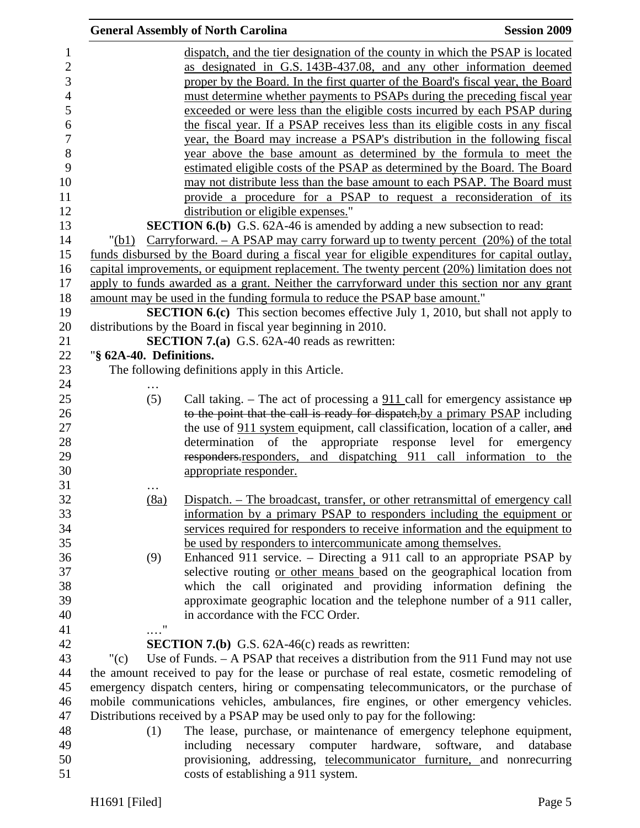|         | <b>General Assembly of North Carolina</b>                                                                        | <b>Session 2009</b>                                                                                                                                                                                                                                                                                                                                                                                                                                                                                                                                                                                                                                                                                                                                                                                                                                                                                                                                                                                                                                                                                                                                                                                                                                                                                                                                                                                                                                                                                                                                                                                                                                                                                                                                                                                                                                                                                                                                                                                                                                                                                                                                                                                                                                                                                                                                                                                                                                                                                                                                                                                                                                                                                                                                                                                                                                                                                                                                                                                             |
|---------|------------------------------------------------------------------------------------------------------------------|-----------------------------------------------------------------------------------------------------------------------------------------------------------------------------------------------------------------------------------------------------------------------------------------------------------------------------------------------------------------------------------------------------------------------------------------------------------------------------------------------------------------------------------------------------------------------------------------------------------------------------------------------------------------------------------------------------------------------------------------------------------------------------------------------------------------------------------------------------------------------------------------------------------------------------------------------------------------------------------------------------------------------------------------------------------------------------------------------------------------------------------------------------------------------------------------------------------------------------------------------------------------------------------------------------------------------------------------------------------------------------------------------------------------------------------------------------------------------------------------------------------------------------------------------------------------------------------------------------------------------------------------------------------------------------------------------------------------------------------------------------------------------------------------------------------------------------------------------------------------------------------------------------------------------------------------------------------------------------------------------------------------------------------------------------------------------------------------------------------------------------------------------------------------------------------------------------------------------------------------------------------------------------------------------------------------------------------------------------------------------------------------------------------------------------------------------------------------------------------------------------------------------------------------------------------------------------------------------------------------------------------------------------------------------------------------------------------------------------------------------------------------------------------------------------------------------------------------------------------------------------------------------------------------------------------------------------------------------------------------------------------------|
|         | dispatch, and the tier designation of the county in which the PSAP is located                                    |                                                                                                                                                                                                                                                                                                                                                                                                                                                                                                                                                                                                                                                                                                                                                                                                                                                                                                                                                                                                                                                                                                                                                                                                                                                                                                                                                                                                                                                                                                                                                                                                                                                                                                                                                                                                                                                                                                                                                                                                                                                                                                                                                                                                                                                                                                                                                                                                                                                                                                                                                                                                                                                                                                                                                                                                                                                                                                                                                                                                                 |
|         |                                                                                                                  |                                                                                                                                                                                                                                                                                                                                                                                                                                                                                                                                                                                                                                                                                                                                                                                                                                                                                                                                                                                                                                                                                                                                                                                                                                                                                                                                                                                                                                                                                                                                                                                                                                                                                                                                                                                                                                                                                                                                                                                                                                                                                                                                                                                                                                                                                                                                                                                                                                                                                                                                                                                                                                                                                                                                                                                                                                                                                                                                                                                                                 |
|         | proper by the Board. In the first quarter of the Board's fiscal year, the Board                                  |                                                                                                                                                                                                                                                                                                                                                                                                                                                                                                                                                                                                                                                                                                                                                                                                                                                                                                                                                                                                                                                                                                                                                                                                                                                                                                                                                                                                                                                                                                                                                                                                                                                                                                                                                                                                                                                                                                                                                                                                                                                                                                                                                                                                                                                                                                                                                                                                                                                                                                                                                                                                                                                                                                                                                                                                                                                                                                                                                                                                                 |
|         | must determine whether payments to PSAPs during the preceding fiscal year                                        |                                                                                                                                                                                                                                                                                                                                                                                                                                                                                                                                                                                                                                                                                                                                                                                                                                                                                                                                                                                                                                                                                                                                                                                                                                                                                                                                                                                                                                                                                                                                                                                                                                                                                                                                                                                                                                                                                                                                                                                                                                                                                                                                                                                                                                                                                                                                                                                                                                                                                                                                                                                                                                                                                                                                                                                                                                                                                                                                                                                                                 |
|         |                                                                                                                  |                                                                                                                                                                                                                                                                                                                                                                                                                                                                                                                                                                                                                                                                                                                                                                                                                                                                                                                                                                                                                                                                                                                                                                                                                                                                                                                                                                                                                                                                                                                                                                                                                                                                                                                                                                                                                                                                                                                                                                                                                                                                                                                                                                                                                                                                                                                                                                                                                                                                                                                                                                                                                                                                                                                                                                                                                                                                                                                                                                                                                 |
|         |                                                                                                                  |                                                                                                                                                                                                                                                                                                                                                                                                                                                                                                                                                                                                                                                                                                                                                                                                                                                                                                                                                                                                                                                                                                                                                                                                                                                                                                                                                                                                                                                                                                                                                                                                                                                                                                                                                                                                                                                                                                                                                                                                                                                                                                                                                                                                                                                                                                                                                                                                                                                                                                                                                                                                                                                                                                                                                                                                                                                                                                                                                                                                                 |
|         |                                                                                                                  |                                                                                                                                                                                                                                                                                                                                                                                                                                                                                                                                                                                                                                                                                                                                                                                                                                                                                                                                                                                                                                                                                                                                                                                                                                                                                                                                                                                                                                                                                                                                                                                                                                                                                                                                                                                                                                                                                                                                                                                                                                                                                                                                                                                                                                                                                                                                                                                                                                                                                                                                                                                                                                                                                                                                                                                                                                                                                                                                                                                                                 |
|         |                                                                                                                  |                                                                                                                                                                                                                                                                                                                                                                                                                                                                                                                                                                                                                                                                                                                                                                                                                                                                                                                                                                                                                                                                                                                                                                                                                                                                                                                                                                                                                                                                                                                                                                                                                                                                                                                                                                                                                                                                                                                                                                                                                                                                                                                                                                                                                                                                                                                                                                                                                                                                                                                                                                                                                                                                                                                                                                                                                                                                                                                                                                                                                 |
|         |                                                                                                                  |                                                                                                                                                                                                                                                                                                                                                                                                                                                                                                                                                                                                                                                                                                                                                                                                                                                                                                                                                                                                                                                                                                                                                                                                                                                                                                                                                                                                                                                                                                                                                                                                                                                                                                                                                                                                                                                                                                                                                                                                                                                                                                                                                                                                                                                                                                                                                                                                                                                                                                                                                                                                                                                                                                                                                                                                                                                                                                                                                                                                                 |
|         |                                                                                                                  |                                                                                                                                                                                                                                                                                                                                                                                                                                                                                                                                                                                                                                                                                                                                                                                                                                                                                                                                                                                                                                                                                                                                                                                                                                                                                                                                                                                                                                                                                                                                                                                                                                                                                                                                                                                                                                                                                                                                                                                                                                                                                                                                                                                                                                                                                                                                                                                                                                                                                                                                                                                                                                                                                                                                                                                                                                                                                                                                                                                                                 |
|         |                                                                                                                  |                                                                                                                                                                                                                                                                                                                                                                                                                                                                                                                                                                                                                                                                                                                                                                                                                                                                                                                                                                                                                                                                                                                                                                                                                                                                                                                                                                                                                                                                                                                                                                                                                                                                                                                                                                                                                                                                                                                                                                                                                                                                                                                                                                                                                                                                                                                                                                                                                                                                                                                                                                                                                                                                                                                                                                                                                                                                                                                                                                                                                 |
|         |                                                                                                                  |                                                                                                                                                                                                                                                                                                                                                                                                                                                                                                                                                                                                                                                                                                                                                                                                                                                                                                                                                                                                                                                                                                                                                                                                                                                                                                                                                                                                                                                                                                                                                                                                                                                                                                                                                                                                                                                                                                                                                                                                                                                                                                                                                                                                                                                                                                                                                                                                                                                                                                                                                                                                                                                                                                                                                                                                                                                                                                                                                                                                                 |
|         |                                                                                                                  |                                                                                                                                                                                                                                                                                                                                                                                                                                                                                                                                                                                                                                                                                                                                                                                                                                                                                                                                                                                                                                                                                                                                                                                                                                                                                                                                                                                                                                                                                                                                                                                                                                                                                                                                                                                                                                                                                                                                                                                                                                                                                                                                                                                                                                                                                                                                                                                                                                                                                                                                                                                                                                                                                                                                                                                                                                                                                                                                                                                                                 |
|         |                                                                                                                  |                                                                                                                                                                                                                                                                                                                                                                                                                                                                                                                                                                                                                                                                                                                                                                                                                                                                                                                                                                                                                                                                                                                                                                                                                                                                                                                                                                                                                                                                                                                                                                                                                                                                                                                                                                                                                                                                                                                                                                                                                                                                                                                                                                                                                                                                                                                                                                                                                                                                                                                                                                                                                                                                                                                                                                                                                                                                                                                                                                                                                 |
|         |                                                                                                                  |                                                                                                                                                                                                                                                                                                                                                                                                                                                                                                                                                                                                                                                                                                                                                                                                                                                                                                                                                                                                                                                                                                                                                                                                                                                                                                                                                                                                                                                                                                                                                                                                                                                                                                                                                                                                                                                                                                                                                                                                                                                                                                                                                                                                                                                                                                                                                                                                                                                                                                                                                                                                                                                                                                                                                                                                                                                                                                                                                                                                                 |
|         |                                                                                                                  |                                                                                                                                                                                                                                                                                                                                                                                                                                                                                                                                                                                                                                                                                                                                                                                                                                                                                                                                                                                                                                                                                                                                                                                                                                                                                                                                                                                                                                                                                                                                                                                                                                                                                                                                                                                                                                                                                                                                                                                                                                                                                                                                                                                                                                                                                                                                                                                                                                                                                                                                                                                                                                                                                                                                                                                                                                                                                                                                                                                                                 |
|         |                                                                                                                  |                                                                                                                                                                                                                                                                                                                                                                                                                                                                                                                                                                                                                                                                                                                                                                                                                                                                                                                                                                                                                                                                                                                                                                                                                                                                                                                                                                                                                                                                                                                                                                                                                                                                                                                                                                                                                                                                                                                                                                                                                                                                                                                                                                                                                                                                                                                                                                                                                                                                                                                                                                                                                                                                                                                                                                                                                                                                                                                                                                                                                 |
|         |                                                                                                                  |                                                                                                                                                                                                                                                                                                                                                                                                                                                                                                                                                                                                                                                                                                                                                                                                                                                                                                                                                                                                                                                                                                                                                                                                                                                                                                                                                                                                                                                                                                                                                                                                                                                                                                                                                                                                                                                                                                                                                                                                                                                                                                                                                                                                                                                                                                                                                                                                                                                                                                                                                                                                                                                                                                                                                                                                                                                                                                                                                                                                                 |
|         |                                                                                                                  |                                                                                                                                                                                                                                                                                                                                                                                                                                                                                                                                                                                                                                                                                                                                                                                                                                                                                                                                                                                                                                                                                                                                                                                                                                                                                                                                                                                                                                                                                                                                                                                                                                                                                                                                                                                                                                                                                                                                                                                                                                                                                                                                                                                                                                                                                                                                                                                                                                                                                                                                                                                                                                                                                                                                                                                                                                                                                                                                                                                                                 |
|         |                                                                                                                  |                                                                                                                                                                                                                                                                                                                                                                                                                                                                                                                                                                                                                                                                                                                                                                                                                                                                                                                                                                                                                                                                                                                                                                                                                                                                                                                                                                                                                                                                                                                                                                                                                                                                                                                                                                                                                                                                                                                                                                                                                                                                                                                                                                                                                                                                                                                                                                                                                                                                                                                                                                                                                                                                                                                                                                                                                                                                                                                                                                                                                 |
|         |                                                                                                                  |                                                                                                                                                                                                                                                                                                                                                                                                                                                                                                                                                                                                                                                                                                                                                                                                                                                                                                                                                                                                                                                                                                                                                                                                                                                                                                                                                                                                                                                                                                                                                                                                                                                                                                                                                                                                                                                                                                                                                                                                                                                                                                                                                                                                                                                                                                                                                                                                                                                                                                                                                                                                                                                                                                                                                                                                                                                                                                                                                                                                                 |
|         |                                                                                                                  |                                                                                                                                                                                                                                                                                                                                                                                                                                                                                                                                                                                                                                                                                                                                                                                                                                                                                                                                                                                                                                                                                                                                                                                                                                                                                                                                                                                                                                                                                                                                                                                                                                                                                                                                                                                                                                                                                                                                                                                                                                                                                                                                                                                                                                                                                                                                                                                                                                                                                                                                                                                                                                                                                                                                                                                                                                                                                                                                                                                                                 |
|         |                                                                                                                  |                                                                                                                                                                                                                                                                                                                                                                                                                                                                                                                                                                                                                                                                                                                                                                                                                                                                                                                                                                                                                                                                                                                                                                                                                                                                                                                                                                                                                                                                                                                                                                                                                                                                                                                                                                                                                                                                                                                                                                                                                                                                                                                                                                                                                                                                                                                                                                                                                                                                                                                                                                                                                                                                                                                                                                                                                                                                                                                                                                                                                 |
|         |                                                                                                                  |                                                                                                                                                                                                                                                                                                                                                                                                                                                                                                                                                                                                                                                                                                                                                                                                                                                                                                                                                                                                                                                                                                                                                                                                                                                                                                                                                                                                                                                                                                                                                                                                                                                                                                                                                                                                                                                                                                                                                                                                                                                                                                                                                                                                                                                                                                                                                                                                                                                                                                                                                                                                                                                                                                                                                                                                                                                                                                                                                                                                                 |
|         |                                                                                                                  |                                                                                                                                                                                                                                                                                                                                                                                                                                                                                                                                                                                                                                                                                                                                                                                                                                                                                                                                                                                                                                                                                                                                                                                                                                                                                                                                                                                                                                                                                                                                                                                                                                                                                                                                                                                                                                                                                                                                                                                                                                                                                                                                                                                                                                                                                                                                                                                                                                                                                                                                                                                                                                                                                                                                                                                                                                                                                                                                                                                                                 |
|         |                                                                                                                  |                                                                                                                                                                                                                                                                                                                                                                                                                                                                                                                                                                                                                                                                                                                                                                                                                                                                                                                                                                                                                                                                                                                                                                                                                                                                                                                                                                                                                                                                                                                                                                                                                                                                                                                                                                                                                                                                                                                                                                                                                                                                                                                                                                                                                                                                                                                                                                                                                                                                                                                                                                                                                                                                                                                                                                                                                                                                                                                                                                                                                 |
|         |                                                                                                                  |                                                                                                                                                                                                                                                                                                                                                                                                                                                                                                                                                                                                                                                                                                                                                                                                                                                                                                                                                                                                                                                                                                                                                                                                                                                                                                                                                                                                                                                                                                                                                                                                                                                                                                                                                                                                                                                                                                                                                                                                                                                                                                                                                                                                                                                                                                                                                                                                                                                                                                                                                                                                                                                                                                                                                                                                                                                                                                                                                                                                                 |
|         |                                                                                                                  |                                                                                                                                                                                                                                                                                                                                                                                                                                                                                                                                                                                                                                                                                                                                                                                                                                                                                                                                                                                                                                                                                                                                                                                                                                                                                                                                                                                                                                                                                                                                                                                                                                                                                                                                                                                                                                                                                                                                                                                                                                                                                                                                                                                                                                                                                                                                                                                                                                                                                                                                                                                                                                                                                                                                                                                                                                                                                                                                                                                                                 |
|         |                                                                                                                  |                                                                                                                                                                                                                                                                                                                                                                                                                                                                                                                                                                                                                                                                                                                                                                                                                                                                                                                                                                                                                                                                                                                                                                                                                                                                                                                                                                                                                                                                                                                                                                                                                                                                                                                                                                                                                                                                                                                                                                                                                                                                                                                                                                                                                                                                                                                                                                                                                                                                                                                                                                                                                                                                                                                                                                                                                                                                                                                                                                                                                 |
|         |                                                                                                                  |                                                                                                                                                                                                                                                                                                                                                                                                                                                                                                                                                                                                                                                                                                                                                                                                                                                                                                                                                                                                                                                                                                                                                                                                                                                                                                                                                                                                                                                                                                                                                                                                                                                                                                                                                                                                                                                                                                                                                                                                                                                                                                                                                                                                                                                                                                                                                                                                                                                                                                                                                                                                                                                                                                                                                                                                                                                                                                                                                                                                                 |
|         |                                                                                                                  |                                                                                                                                                                                                                                                                                                                                                                                                                                                                                                                                                                                                                                                                                                                                                                                                                                                                                                                                                                                                                                                                                                                                                                                                                                                                                                                                                                                                                                                                                                                                                                                                                                                                                                                                                                                                                                                                                                                                                                                                                                                                                                                                                                                                                                                                                                                                                                                                                                                                                                                                                                                                                                                                                                                                                                                                                                                                                                                                                                                                                 |
|         |                                                                                                                  |                                                                                                                                                                                                                                                                                                                                                                                                                                                                                                                                                                                                                                                                                                                                                                                                                                                                                                                                                                                                                                                                                                                                                                                                                                                                                                                                                                                                                                                                                                                                                                                                                                                                                                                                                                                                                                                                                                                                                                                                                                                                                                                                                                                                                                                                                                                                                                                                                                                                                                                                                                                                                                                                                                                                                                                                                                                                                                                                                                                                                 |
|         |                                                                                                                  |                                                                                                                                                                                                                                                                                                                                                                                                                                                                                                                                                                                                                                                                                                                                                                                                                                                                                                                                                                                                                                                                                                                                                                                                                                                                                                                                                                                                                                                                                                                                                                                                                                                                                                                                                                                                                                                                                                                                                                                                                                                                                                                                                                                                                                                                                                                                                                                                                                                                                                                                                                                                                                                                                                                                                                                                                                                                                                                                                                                                                 |
|         |                                                                                                                  |                                                                                                                                                                                                                                                                                                                                                                                                                                                                                                                                                                                                                                                                                                                                                                                                                                                                                                                                                                                                                                                                                                                                                                                                                                                                                                                                                                                                                                                                                                                                                                                                                                                                                                                                                                                                                                                                                                                                                                                                                                                                                                                                                                                                                                                                                                                                                                                                                                                                                                                                                                                                                                                                                                                                                                                                                                                                                                                                                                                                                 |
|         |                                                                                                                  |                                                                                                                                                                                                                                                                                                                                                                                                                                                                                                                                                                                                                                                                                                                                                                                                                                                                                                                                                                                                                                                                                                                                                                                                                                                                                                                                                                                                                                                                                                                                                                                                                                                                                                                                                                                                                                                                                                                                                                                                                                                                                                                                                                                                                                                                                                                                                                                                                                                                                                                                                                                                                                                                                                                                                                                                                                                                                                                                                                                                                 |
|         |                                                                                                                  |                                                                                                                                                                                                                                                                                                                                                                                                                                                                                                                                                                                                                                                                                                                                                                                                                                                                                                                                                                                                                                                                                                                                                                                                                                                                                                                                                                                                                                                                                                                                                                                                                                                                                                                                                                                                                                                                                                                                                                                                                                                                                                                                                                                                                                                                                                                                                                                                                                                                                                                                                                                                                                                                                                                                                                                                                                                                                                                                                                                                                 |
|         |                                                                                                                  |                                                                                                                                                                                                                                                                                                                                                                                                                                                                                                                                                                                                                                                                                                                                                                                                                                                                                                                                                                                                                                                                                                                                                                                                                                                                                                                                                                                                                                                                                                                                                                                                                                                                                                                                                                                                                                                                                                                                                                                                                                                                                                                                                                                                                                                                                                                                                                                                                                                                                                                                                                                                                                                                                                                                                                                                                                                                                                                                                                                                                 |
|         |                                                                                                                  |                                                                                                                                                                                                                                                                                                                                                                                                                                                                                                                                                                                                                                                                                                                                                                                                                                                                                                                                                                                                                                                                                                                                                                                                                                                                                                                                                                                                                                                                                                                                                                                                                                                                                                                                                                                                                                                                                                                                                                                                                                                                                                                                                                                                                                                                                                                                                                                                                                                                                                                                                                                                                                                                                                                                                                                                                                                                                                                                                                                                                 |
|         |                                                                                                                  |                                                                                                                                                                                                                                                                                                                                                                                                                                                                                                                                                                                                                                                                                                                                                                                                                                                                                                                                                                                                                                                                                                                                                                                                                                                                                                                                                                                                                                                                                                                                                                                                                                                                                                                                                                                                                                                                                                                                                                                                                                                                                                                                                                                                                                                                                                                                                                                                                                                                                                                                                                                                                                                                                                                                                                                                                                                                                                                                                                                                                 |
|         | in accordance with the FCC Order.                                                                                |                                                                                                                                                                                                                                                                                                                                                                                                                                                                                                                                                                                                                                                                                                                                                                                                                                                                                                                                                                                                                                                                                                                                                                                                                                                                                                                                                                                                                                                                                                                                                                                                                                                                                                                                                                                                                                                                                                                                                                                                                                                                                                                                                                                                                                                                                                                                                                                                                                                                                                                                                                                                                                                                                                                                                                                                                                                                                                                                                                                                                 |
|         |                                                                                                                  |                                                                                                                                                                                                                                                                                                                                                                                                                                                                                                                                                                                                                                                                                                                                                                                                                                                                                                                                                                                                                                                                                                                                                                                                                                                                                                                                                                                                                                                                                                                                                                                                                                                                                                                                                                                                                                                                                                                                                                                                                                                                                                                                                                                                                                                                                                                                                                                                                                                                                                                                                                                                                                                                                                                                                                                                                                                                                                                                                                                                                 |
|         |                                                                                                                  |                                                                                                                                                                                                                                                                                                                                                                                                                                                                                                                                                                                                                                                                                                                                                                                                                                                                                                                                                                                                                                                                                                                                                                                                                                                                                                                                                                                                                                                                                                                                                                                                                                                                                                                                                                                                                                                                                                                                                                                                                                                                                                                                                                                                                                                                                                                                                                                                                                                                                                                                                                                                                                                                                                                                                                                                                                                                                                                                                                                                                 |
| " $(c)$ |                                                                                                                  |                                                                                                                                                                                                                                                                                                                                                                                                                                                                                                                                                                                                                                                                                                                                                                                                                                                                                                                                                                                                                                                                                                                                                                                                                                                                                                                                                                                                                                                                                                                                                                                                                                                                                                                                                                                                                                                                                                                                                                                                                                                                                                                                                                                                                                                                                                                                                                                                                                                                                                                                                                                                                                                                                                                                                                                                                                                                                                                                                                                                                 |
|         |                                                                                                                  |                                                                                                                                                                                                                                                                                                                                                                                                                                                                                                                                                                                                                                                                                                                                                                                                                                                                                                                                                                                                                                                                                                                                                                                                                                                                                                                                                                                                                                                                                                                                                                                                                                                                                                                                                                                                                                                                                                                                                                                                                                                                                                                                                                                                                                                                                                                                                                                                                                                                                                                                                                                                                                                                                                                                                                                                                                                                                                                                                                                                                 |
|         |                                                                                                                  |                                                                                                                                                                                                                                                                                                                                                                                                                                                                                                                                                                                                                                                                                                                                                                                                                                                                                                                                                                                                                                                                                                                                                                                                                                                                                                                                                                                                                                                                                                                                                                                                                                                                                                                                                                                                                                                                                                                                                                                                                                                                                                                                                                                                                                                                                                                                                                                                                                                                                                                                                                                                                                                                                                                                                                                                                                                                                                                                                                                                                 |
|         |                                                                                                                  |                                                                                                                                                                                                                                                                                                                                                                                                                                                                                                                                                                                                                                                                                                                                                                                                                                                                                                                                                                                                                                                                                                                                                                                                                                                                                                                                                                                                                                                                                                                                                                                                                                                                                                                                                                                                                                                                                                                                                                                                                                                                                                                                                                                                                                                                                                                                                                                                                                                                                                                                                                                                                                                                                                                                                                                                                                                                                                                                                                                                                 |
|         | Distributions received by a PSAP may be used only to pay for the following:                                      |                                                                                                                                                                                                                                                                                                                                                                                                                                                                                                                                                                                                                                                                                                                                                                                                                                                                                                                                                                                                                                                                                                                                                                                                                                                                                                                                                                                                                                                                                                                                                                                                                                                                                                                                                                                                                                                                                                                                                                                                                                                                                                                                                                                                                                                                                                                                                                                                                                                                                                                                                                                                                                                                                                                                                                                                                                                                                                                                                                                                                 |
| (1)     | The lease, purchase, or maintenance of emergency telephone equipment,                                            |                                                                                                                                                                                                                                                                                                                                                                                                                                                                                                                                                                                                                                                                                                                                                                                                                                                                                                                                                                                                                                                                                                                                                                                                                                                                                                                                                                                                                                                                                                                                                                                                                                                                                                                                                                                                                                                                                                                                                                                                                                                                                                                                                                                                                                                                                                                                                                                                                                                                                                                                                                                                                                                                                                                                                                                                                                                                                                                                                                                                                 |
|         |                                                                                                                  |                                                                                                                                                                                                                                                                                                                                                                                                                                                                                                                                                                                                                                                                                                                                                                                                                                                                                                                                                                                                                                                                                                                                                                                                                                                                                                                                                                                                                                                                                                                                                                                                                                                                                                                                                                                                                                                                                                                                                                                                                                                                                                                                                                                                                                                                                                                                                                                                                                                                                                                                                                                                                                                                                                                                                                                                                                                                                                                                                                                                                 |
|         |                                                                                                                  | software,<br>and<br>database                                                                                                                                                                                                                                                                                                                                                                                                                                                                                                                                                                                                                                                                                                                                                                                                                                                                                                                                                                                                                                                                                                                                                                                                                                                                                                                                                                                                                                                                                                                                                                                                                                                                                                                                                                                                                                                                                                                                                                                                                                                                                                                                                                                                                                                                                                                                                                                                                                                                                                                                                                                                                                                                                                                                                                                                                                                                                                                                                                                    |
|         | including necessary computer hardware,<br>provisioning, addressing, telecommunicator furniture, and nonrecurring |                                                                                                                                                                                                                                                                                                                                                                                                                                                                                                                                                                                                                                                                                                                                                                                                                                                                                                                                                                                                                                                                                                                                                                                                                                                                                                                                                                                                                                                                                                                                                                                                                                                                                                                                                                                                                                                                                                                                                                                                                                                                                                                                                                                                                                                                                                                                                                                                                                                                                                                                                                                                                                                                                                                                                                                                                                                                                                                                                                                                                 |
|         | "(b1)<br>(5)<br>(8a)<br>(9)<br>$\ldots$ ."                                                                       | as designated in G.S. 143B-437.08, and any other information deemed<br>exceeded or were less than the eligible costs incurred by each PSAP during<br>the fiscal year. If a PSAP receives less than its eligible costs in any fiscal<br>year, the Board may increase a PSAP's distribution in the following fiscal<br>year above the base amount as determined by the formula to meet the<br>estimated eligible costs of the PSAP as determined by the Board. The Board<br>may not distribute less than the base amount to each PSAP. The Board must<br>provide a procedure for a PSAP to request a reconsideration of its<br>distribution or eligible expenses."<br><b>SECTION 6.(b)</b> G.S. 62A-46 is amended by adding a new subsection to read:<br>$Carryforward. - A PSAP may carry forward up to twenty percent (20%) of the total$<br>funds disbursed by the Board during a fiscal year for eligible expenditures for capital outlay,<br>capital improvements, or equipment replacement. The twenty percent (20%) limitation does not<br>apply to funds awarded as a grant. Neither the carryforward under this section nor any grant<br>amount may be used in the funding formula to reduce the PSAP base amount."<br><b>SECTION 6.(c)</b> This section becomes effective July 1, 2010, but shall not apply to<br>distributions by the Board in fiscal year beginning in 2010.<br><b>SECTION 7.(a)</b> G.S. 62A-40 reads as rewritten:<br>"§ 62A-40. Definitions.<br>The following definitions apply in this Article.<br>Call taking. – The act of processing a $911$ call for emergency assistance $up$<br>to the point that the call is ready for dispatch, by a primary PSAP including<br>the use of 911 system equipment, call classification, location of a caller, and<br>determination of the appropriate response level for emergency<br>responders responders, and dispatching 911 call information to the<br>appropriate responder.<br>Dispatch. – The broadcast, transfer, or other retransmittal of emergency call<br>information by a primary PSAP to responders including the equipment or<br>services required for responders to receive information and the equipment to<br>be used by responders to intercommunicate among themselves.<br>Enhanced 911 service. – Directing a 911 call to an appropriate PSAP by<br>selective routing or other means based on the geographical location from<br>which the call originated and providing information defining the<br>approximate geographic location and the telephone number of a 911 caller,<br><b>SECTION 7.(b)</b> G.S. $62A-46(c)$ reads as rewritten:<br>Use of Funds. $-$ A PSAP that receives a distribution from the 911 Fund may not use<br>the amount received to pay for the lease or purchase of real estate, cosmetic remodeling of<br>emergency dispatch centers, hiring or compensating telecommunicators, or the purchase of<br>mobile communications vehicles, ambulances, fire engines, or other emergency vehicles. |